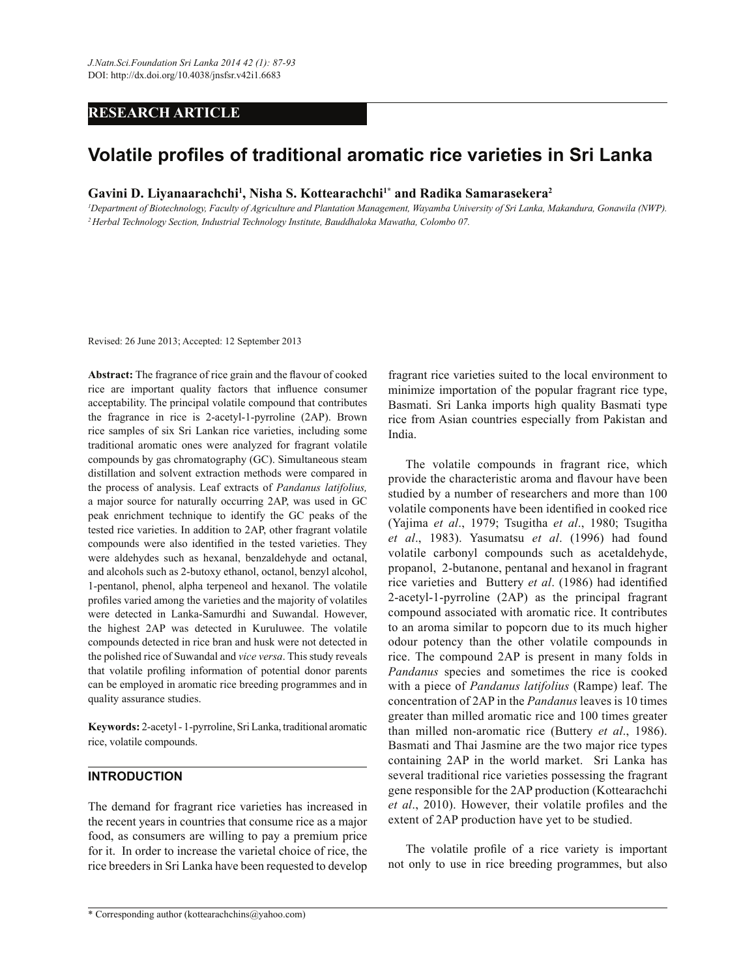# **RESEARCH ARTICLE**

# **Volatile profiles of traditional aromatic rice varieties in Sri Lanka**

**Gavini D. Liyanaarachchi<sup>1</sup> , Nisha S. Kottearachchi1\* and Radika Samarasekera<sup>2</sup>**

*<sup>1</sup>Department of Biotechnology, Faculty of Agriculture and Plantation Management, Wayamba University of Sri Lanka, Makandura, Gonawila (NWP). <sup>2</sup>Herbal Technology Section, Industrial Technology Institute, Bauddhaloka Mawatha, Colombo 07.*

Revised: 26 June 2013; Accepted: 12 September 2013

**Abstract:** The fragrance of rice grain and the flavour of cooked rice are important quality factors that influence consumer acceptability. The principal volatile compound that contributes the fragrance in rice is 2-acetyl-1-pyrroline (2AP). Brown rice samples of six Sri Lankan rice varieties, including some traditional aromatic ones were analyzed for fragrant volatile compounds by gas chromatography (GC). Simultaneous steam distillation and solvent extraction methods were compared in the process of analysis. Leaf extracts of *Pandanus latifolius,* a major source for naturally occurring 2AP, was used in GC peak enrichment technique to identify the GC peaks of the tested rice varieties. In addition to 2AP, other fragrant volatile compounds were also identified in the tested varieties. They were aldehydes such as hexanal, benzaldehyde and octanal, and alcohols such as 2-butoxy ethanol, octanol, benzyl alcohol, 1-pentanol, phenol, alpha terpeneol and hexanol. The volatile profiles varied among the varieties and the majority of volatiles were detected in Lanka-Samurdhi and Suwandal. However, the highest 2AP was detected in Kuruluwee. The volatile compounds detected in rice bran and husk were not detected in the polished rice of Suwandal and *vice versa*. This study reveals that volatile profiling information of potential donor parents can be employed in aromatic rice breeding programmes and in quality assurance studies.

**Keywords:** 2-acetyl - 1-pyrroline, Sri Lanka, traditional aromatic rice, volatile compounds.

# **INTRODUCTION**

The demand for fragrant rice varieties has increased in the recent years in countries that consume rice as a major food, as consumers are willing to pay a premium price for it. In order to increase the varietal choice of rice, the rice breeders in Sri Lanka have been requested to develop fragrant rice varieties suited to the local environment to minimize importation of the popular fragrant rice type, Basmati. Sri Lanka imports high quality Basmati type rice from Asian countries especially from Pakistan and India.

 The volatile compounds in fragrant rice, which provide the characteristic aroma and flavour have been studied by a number of researchers and more than 100 volatile components have been identified in cooked rice (Yajima *et al*., 1979; Tsugitha *et al*., 1980; Tsugitha *et al*., 1983). Yasumatsu *et al*. (1996) had found volatile carbonyl compounds such as acetaldehyde, propanol, 2-butanone, pentanal and hexanol in fragrant rice varieties and Buttery *et al*. (1986) had identified 2-acetyl-1-pyrroline (2AP) as the principal fragrant compound associated with aromatic rice. It contributes to an aroma similar to popcorn due to its much higher odour potency than the other volatile compounds in rice. The compound 2AP is present in many folds in *Pandanus* species and sometimes the rice is cooked with a piece of *Pandanus latifolius* (Rampe) leaf. The concentration of 2AP in the *Pandanus* leaves is 10 times greater than milled aromatic rice and 100 times greater than milled non-aromatic rice (Buttery *et al*., 1986). Basmati and Thai Jasmine are the two major rice types containing 2AP in the world market. Sri Lanka has several traditional rice varieties possessing the fragrant gene responsible for the 2AP production (Kottearachchi *et al*., 2010). However, their volatile profiles and the extent of 2AP production have yet to be studied.

 The volatile profile of a rice variety is important not only to use in rice breeding programmes, but also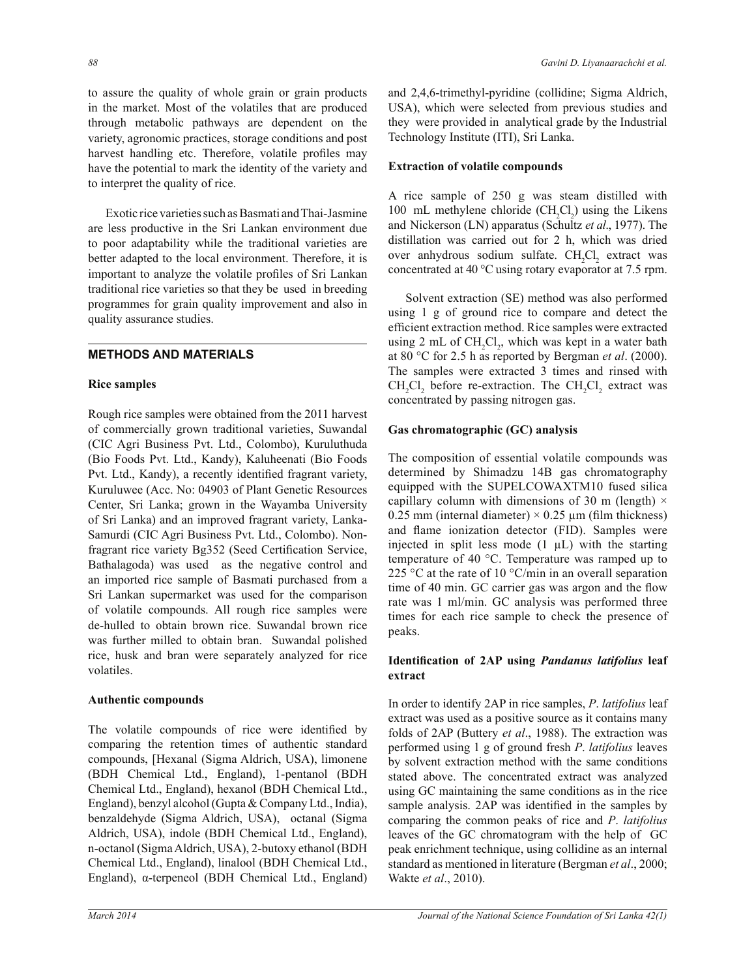to assure the quality of whole grain or grain products in the market. Most of the volatiles that are produced through metabolic pathways are dependent on the variety, agronomic practices, storage conditions and post harvest handling etc. Therefore, volatile profiles may have the potential to mark the identity of the variety and to interpret the quality of rice.

 Exotic rice varieties such as Basmati and Thai-Jasmine are less productive in the Sri Lankan environment due to poor adaptability while the traditional varieties are better adapted to the local environment. Therefore, it is important to analyze the volatile profiles of Sri Lankan traditional rice varieties so that they be used in breeding programmes for grain quality improvement and also in quality assurance studies.

# **METHODS AND MATERIALS**

#### **Rice samples**

Rough rice samples were obtained from the 2011 harvest of commercially grown traditional varieties, Suwandal (CIC Agri Business Pvt. Ltd., Colombo), Kuruluthuda (Bio Foods Pvt. Ltd., Kandy), Kaluheenati (Bio Foods Pvt. Ltd., Kandy), a recently identified fragrant variety, Kuruluwee (Acc. No: 04903 of Plant Genetic Resources Center, Sri Lanka; grown in the Wayamba University of Sri Lanka) and an improved fragrant variety, Lanka-Samurdi (CIC Agri Business Pvt. Ltd., Colombo). Nonfragrant rice variety Bg352 (Seed Certification Service, Bathalagoda) was used as the negative control and an imported rice sample of Basmati purchased from a Sri Lankan supermarket was used for the comparison of volatile compounds. All rough rice samples were de-hulled to obtain brown rice. Suwandal brown rice was further milled to obtain bran. Suwandal polished rice, husk and bran were separately analyzed for rice volatiles.

#### **Authentic compounds**

The volatile compounds of rice were identified by comparing the retention times of authentic standard compounds, [Hexanal (Sigma Aldrich, USA), limonene (BDH Chemical Ltd., England), 1-pentanol (BDH Chemical Ltd., England), hexanol (BDH Chemical Ltd., England), benzyl alcohol (Gupta & Company Ltd., India), benzaldehyde (Sigma Aldrich, USA), octanal (Sigma Aldrich, USA), indole (BDH Chemical Ltd., England), n-octanol (Sigma Aldrich, USA), 2-butoxy ethanol (BDH Chemical Ltd., England), linalool (BDH Chemical Ltd., England), α-terpeneol (BDH Chemical Ltd., England)

and 2,4,6-trimethyl-pyridine (collidine; Sigma Aldrich, USA), which were selected from previous studies and they were provided in analytical grade by the Industrial Technology Institute (ITI), Sri Lanka.

# **Extraction of volatile compounds**

A rice sample of 250 g was steam distilled with 100 mL methylene chloride  $(CH_2Cl_2)$  using the Likens and Nickerson (LN) apparatus (Schultz *et al*., 1977). The distillation was carried out for 2 h, which was dried over anhydrous sodium sulfate. CH<sub>2</sub>Cl<sub>2</sub> extract was concentrated at 40 °C using rotary evaporator at 7.5 rpm.

 Solvent extraction (SE) method was also performed using 1 g of ground rice to compare and detect the efficient extraction method. Rice samples were extracted using 2 mL of  $CH_2Cl_2$ , which was kept in a water bath at 80 °C for 2.5 h as reported by Bergman *et al*. (2000). The samples were extracted 3 times and rinsed with  $CH_2Cl_2$  before re-extraction. The  $CH_2Cl_2$  extract was concentrated by passing nitrogen gas.

# **Gas chromatographic (GC) analysis**

The composition of essential volatile compounds was determined by Shimadzu 14B gas chromatography equipped with the SUPELCOWAXTM10 fused silica capillary column with dimensions of 30 m (length)  $\times$ 0.25 mm (internal diameter)  $\times$  0.25 µm (film thickness) and flame ionization detector (FID). Samples were injected in split less mode  $(1 \mu L)$  with the starting temperature of 40 °C. Temperature was ramped up to 225 °C at the rate of 10 °C/min in an overall separation time of 40 min. GC carrier gas was argon and the flow rate was 1 ml/min. GC analysis was performed three times for each rice sample to check the presence of peaks.

# **Identification of 2AP using** *Pandanus latifolius* **leaf extract**

In order to identify 2AP in rice samples, *P*. *latifolius* leaf extract was used as a positive source as it contains many folds of 2AP (Buttery *et al*., 1988). The extraction was performed using 1 g of ground fresh *P*. *latifolius* leaves by solvent extraction method with the same conditions stated above. The concentrated extract was analyzed using GC maintaining the same conditions as in the rice sample analysis. 2AP was identified in the samples by comparing the common peaks of rice and *P*. *latifolius* leaves of the GC chromatogram with the help of GC peak enrichment technique, using collidine as an internal standard as mentioned in literature (Bergman *et al*., 2000; Wakte *et al*., 2010).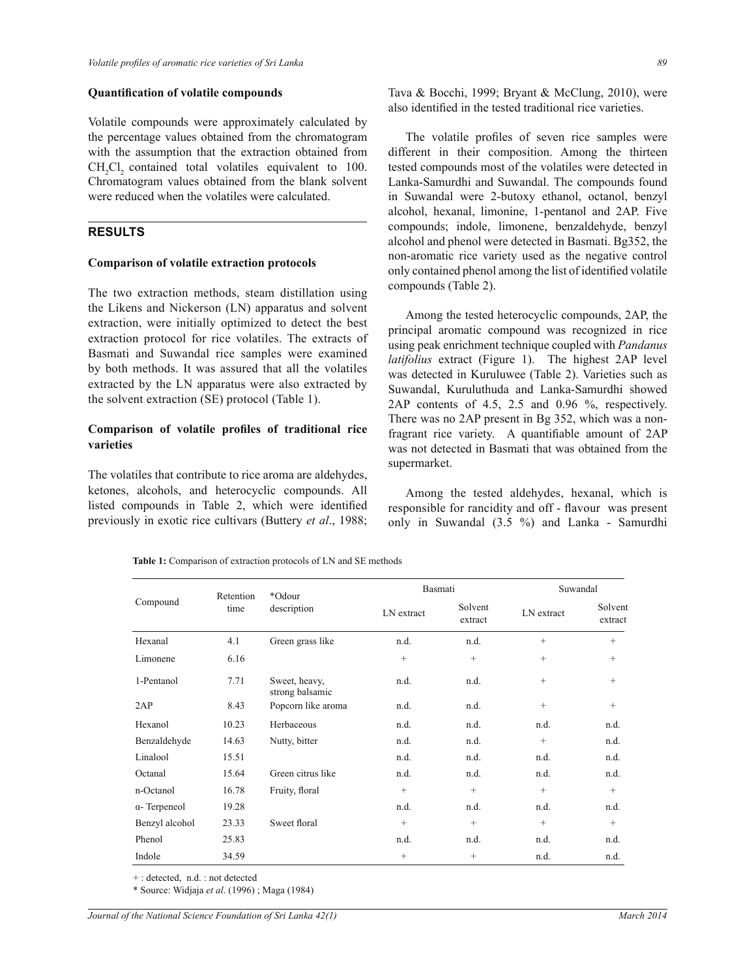#### **Quantification of volatile compounds**

Volatile compounds were approximately calculated by the percentage values obtained from the chromatogram with the assumption that the extraction obtained from CH<sub>2</sub>Cl<sub>2</sub> contained total volatiles equivalent to 100. Chromatogram values obtained from the blank solvent were reduced when the volatiles were calculated.

## **RESULTS**

#### **Comparison of volatile extraction protocols**

The two extraction methods, steam distillation using the Likens and Nickerson (LN) apparatus and solvent extraction, were initially optimized to detect the best extraction protocol for rice volatiles. The extracts of Basmati and Suwandal rice samples were examined by both methods. It was assured that all the volatiles extracted by the LN apparatus were also extracted by the solvent extraction (SE) protocol (Table 1).

## **Comparison of volatile profiles of traditional rice varieties**

The volatiles that contribute to rice aroma are aldehydes, ketones, alcohols, and heterocyclic compounds. All listed compounds in Table 2, which were identified previously in exotic rice cultivars (Buttery *et al*., 1988;

Tava & Bocchi, 1999; Bryant & McClung, 2010), were also identified in the tested traditional rice varieties.

 The volatile profiles of seven rice samples were different in their composition. Among the thirteen tested compounds most of the volatiles were detected in Lanka-Samurdhi and Suwandal. The compounds found in Suwandal were 2-butoxy ethanol, octanol, benzyl alcohol, hexanal, limonine, 1-pentanol and 2AP. Five compounds; indole, limonene, benzaldehyde, benzyl alcohol and phenol were detected in Basmati. Bg352, the non-aromatic rice variety used as the negative control only contained phenol among the list of identified volatile compounds (Table 2).

 Among the tested heterocyclic compounds, 2AP, the principal aromatic compound was recognized in rice using peak enrichment technique coupled with *Pandanus latifolius* extract (Figure 1). The highest 2AP level was detected in Kuruluwee (Table 2). Varieties such as Suwandal, Kuruluthuda and Lanka-Samurdhi showed 2AP contents of 4.5, 2.5 and 0.96 %, respectively. There was no 2AP present in Bg 352, which was a nonfragrant rice variety. A quantifiable amount of 2AP was not detected in Basmati that was obtained from the supermarket.

 Among the tested aldehydes, hexanal, which is responsible for rancidity and off - flavour was present only in Suwandal (3.5 %) and Lanka - Samurdhi

|  | <b>Table 1:</b> Comparison of extraction protocols of LN and SE methods |
|--|-------------------------------------------------------------------------|
|--|-------------------------------------------------------------------------|

| Compound             | Retention | *Odour<br>description            |                   | Basmati            |            | Suwandal           |  |
|----------------------|-----------|----------------------------------|-------------------|--------------------|------------|--------------------|--|
|                      | time      |                                  | LN extract        | Solvent<br>extract | LN extract | Solvent<br>extract |  |
| Hexanal              | 4.1       | Green grass like                 | n.d.              | n.d.               | $+$        | $^{+}$             |  |
| Limonene             | 6.16      |                                  | $+$               | $+$                | $^{+}$     | $^{+}$             |  |
| 1-Pentanol           | 7.71      | Sweet, heavy,<br>strong balsamic | n.d.              | n.d.               | $^{+}$     | $^{+}$             |  |
| 2AP                  | 8.43      | Popcorn like aroma               | n.d.              | n.d.               | $^{+}$     | $\qquad \qquad +$  |  |
| Hexanol              | 10.23     | Herbaceous                       | n.d.              | n.d.               | n.d.       | n.d.               |  |
| Benzaldehyde         | 14.63     | Nutty, bitter                    | n.d.              | n.d.               | $^{+}$     | n.d.               |  |
| Linalool             | 15.51     |                                  | n.d.              | n.d.               | n.d.       | n.d.               |  |
| Octanal              | 15.64     | Green citrus like                | n.d.              | n.d.               | n.d.       | n.d.               |  |
| n-Octanol            | 16.78     | Fruity, floral                   | $+$               | $+$                | $+$        | $+$                |  |
| $\alpha$ - Terpeneol | 19.28     |                                  | n.d.              | n.d.               | n.d.       | n.d.               |  |
| Benzyl alcohol       | 23.33     | Sweet floral                     | $+$               | $+$                | $+$        | $\qquad \qquad +$  |  |
| Phenol               | 25.83     |                                  | n.d.              | n.d.               | n.d.       | n.d.               |  |
| Indole               | 34.59     |                                  | $\qquad \qquad +$ | $^{+}$             | n.d.       | n.d.               |  |

+ : detected, n.d. : not detected

\* Source: Widjaja *et al*. (1996) ; Maga (1984)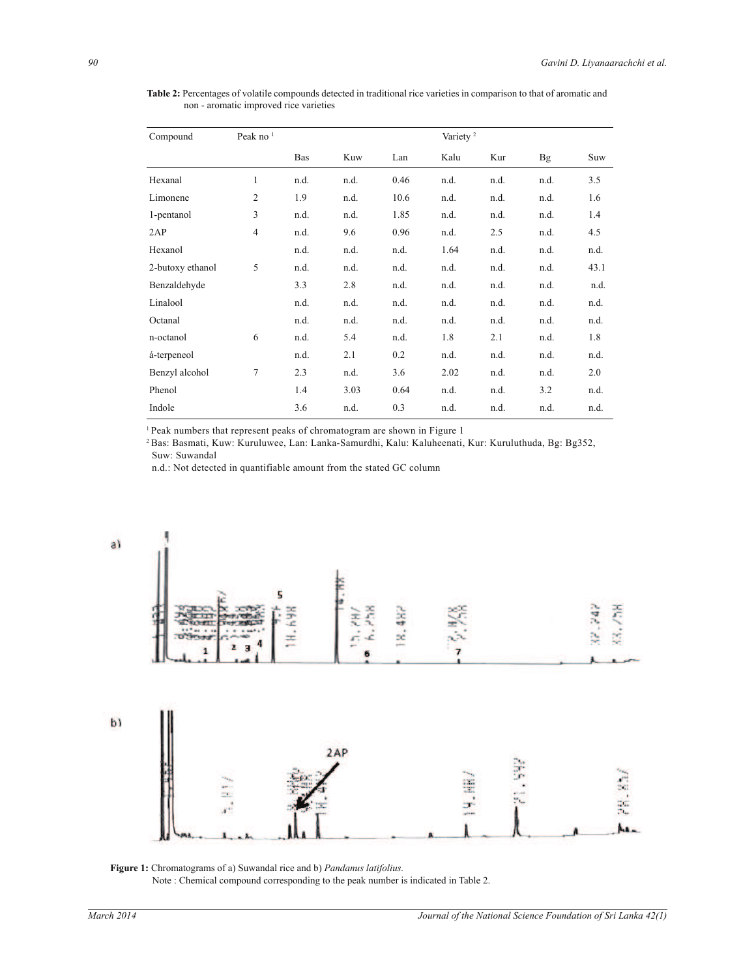Compound Peak no <sup>1</sup> Variety <sup>2</sup> Bas Kuw Lan Kalu Kur Bg Suw Hexanal 1 n.d. n.d. 0.46 n.d. n.d. n.d. 3.5 Limonene 2 1.9 n.d. 10.6 n.d. n.d. n.d. 1.6 1-pentanol 3 n.d. n.d. 1.85 n.d. n.d. n.d. 1.4 2AP 4 n.d. 9.6 0.96 n.d. 2.5 n.d. 4.5 Hexanol n.d. n.d. n.d. 1.64 n.d. n.d. n.d. 2-butoxy ethanol 5 n.d. n.d. n.d. n.d. n.d. n.d. 43.1 Benzaldehyde 3.3 2.8 n.d. n.d. n.d. n.d. n.d. Linalool n.d. n.d. n.d. n.d. n.d. n.d. n.d. Octanal n.d. n.d. n.d. n.d. n.d. n.d. n.d. n-octanol 6 n.d. 5.4 n.d. 1.8 2.1 n.d. 1.8 á-terpeneol n.d. 2.1 0.2 n.d. n.d. n.d. n.d. Benzyl alcohol 7 2.3 n.d. 3.6 2.02 n.d. n.d. 2.0 Phenol 1.4 3.03 0.64 n.d. n.d. 3.2 n.d. Indole 3.6 n.d. 0.3 n.d. n.d. n.d. n.d.

**Table 2:** Percentages of volatile compounds detected in traditional rice varieties in comparison to that of aromatic and non - aromatic improved rice varieties

<sup>1</sup> Peak numbers that represent peaks of chromatogram are shown in Figure 1

<sup>2</sup>Bas: Basmati, Kuw: Kuruluwee, Lan: Lanka-Samurdhi, Kalu: Kaluheenati, Kur: Kuruluthuda, Bg: Bg352, Suw: Suwandal

n.d.: Not detected in quantifiable amount from the stated GC column



## **Figure 1:** Chromatograms of a) Suwandal rice and b) *Pandanus latifolius.*

Note : Chemical compound corresponding to the peak number is indicated in Table 2.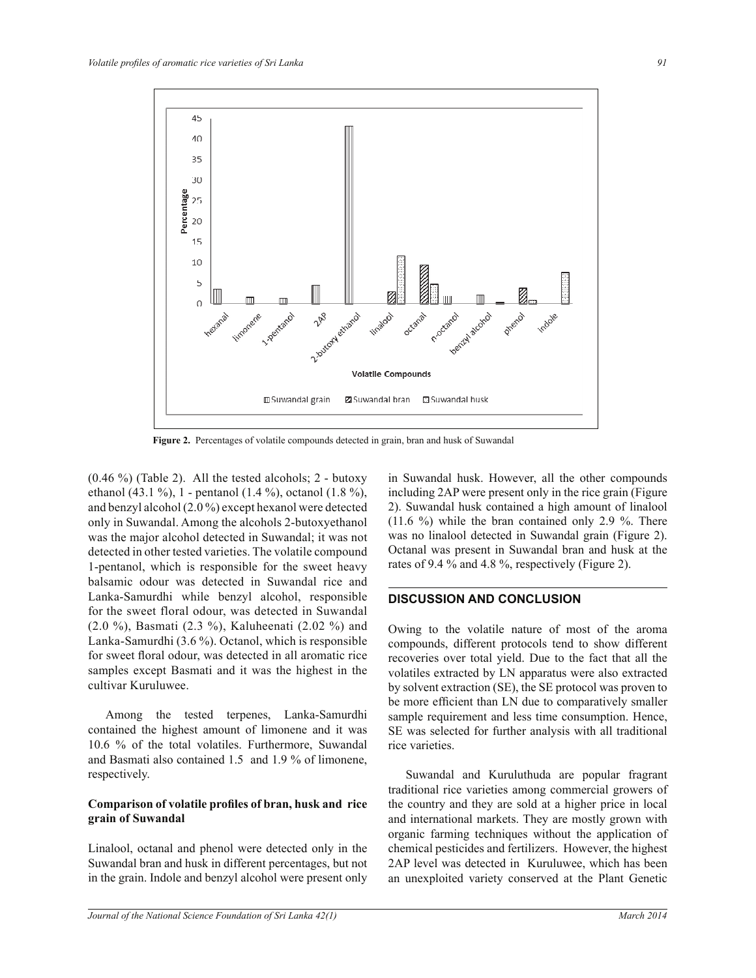



**Figure 2.** Percentages of volatile compounds detected in grain, bran and husk of Suwandal

 $(0.46\%)$  (Table 2). All the tested alcohols; 2 - butoxy ethanol (43.1 %), 1 - pentanol (1.4 %), octanol (1.8 %), and benzyl alcohol (2.0 %) except hexanol were detected only in Suwandal. Among the alcohols 2-butoxyethanol was the major alcohol detected in Suwandal; it was not detected in other tested varieties. The volatile compound 1-pentanol, which is responsible for the sweet heavy balsamic odour was detected in Suwandal rice and Lanka-Samurdhi while benzyl alcohol, responsible for the sweet floral odour, was detected in Suwandal (2.0 %), Basmati (2.3 %), Kaluheenati (2.02 %) and Lanka-Samurdhi (3.6 %). Octanol, which is responsible for sweet floral odour, was detected in all aromatic rice samples except Basmati and it was the highest in the cultivar Kuruluwee.

 Among the tested terpenes, Lanka-Samurdhi contained the highest amount of limonene and it was 10.6 % of the total volatiles. Furthermore, Suwandal and Basmati also contained 1.5 and 1.9 % of limonene, respectively.

## **Comparison of volatile profiles of bran, husk and rice grain of Suwandal**

Linalool, octanal and phenol were detected only in the Suwandal bran and husk in different percentages, but not in the grain. Indole and benzyl alcohol were present only in Suwandal husk. However, all the other compounds including 2AP were present only in the rice grain (Figure 2). Suwandal husk contained a high amount of linalool (11.6 %) while the bran contained only 2.9 %. There was no linalool detected in Suwandal grain (Figure 2). Octanal was present in Suwandal bran and husk at the rates of 9.4 % and 4.8 %, respectively (Figure 2).

#### **DISCUSSION AND CONCLUSION**

Owing to the volatile nature of most of the aroma compounds, different protocols tend to show different recoveries over total yield. Due to the fact that all the volatiles extracted by LN apparatus were also extracted by solvent extraction (SE), the SE protocol was proven to be more efficient than LN due to comparatively smaller sample requirement and less time consumption. Hence, SE was selected for further analysis with all traditional rice varieties.

 Suwandal and Kuruluthuda are popular fragrant traditional rice varieties among commercial growers of the country and they are sold at a higher price in local and international markets. They are mostly grown with organic farming techniques without the application of chemical pesticides and fertilizers. However, the highest 2AP level was detected in Kuruluwee, which has been an unexploited variety conserved at the Plant Genetic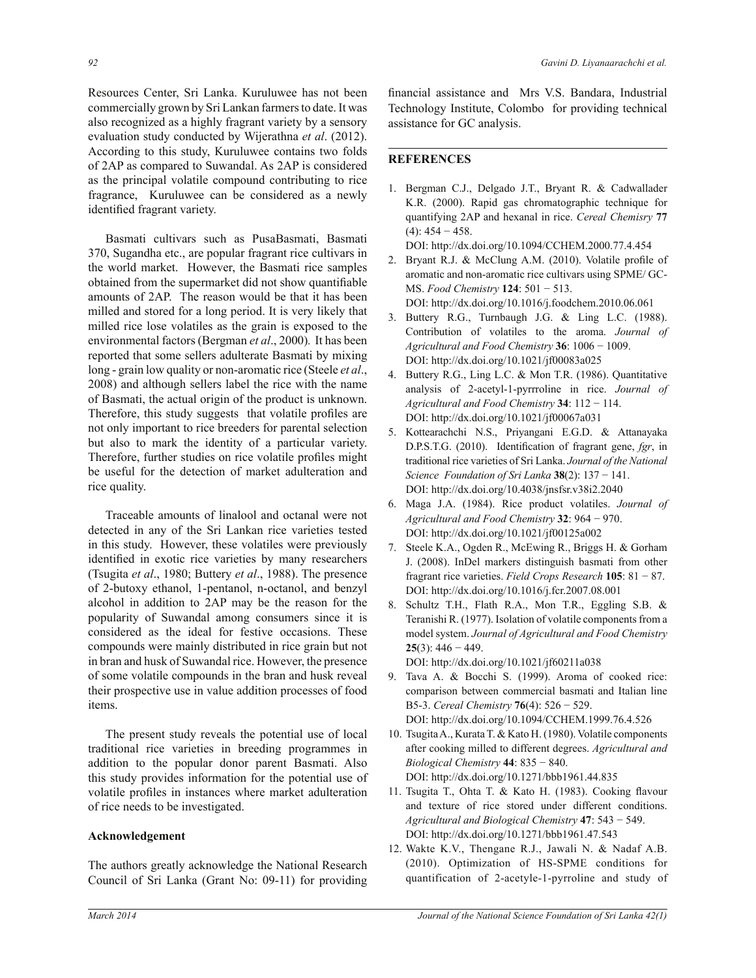Resources Center, Sri Lanka. Kuruluwee has not been commercially grown by Sri Lankan farmers to date. It was also recognized as a highly fragrant variety by a sensory evaluation study conducted by Wijerathna *et al*. (2012). According to this study, Kuruluwee contains two folds of 2AP as compared to Suwandal. As 2AP is considered as the principal volatile compound contributing to rice fragrance, Kuruluwee can be considered as a newly identified fragrant variety.

 Basmati cultivars such as PusaBasmati, Basmati 370, Sugandha etc., are popular fragrant rice cultivars in the world market. However, the Basmati rice samples obtained from the supermarket did not show quantifiable amounts of 2AP. The reason would be that it has been milled and stored for a long period. It is very likely that milled rice lose volatiles as the grain is exposed to the environmental factors (Bergman *et al*., 2000)*.* It has been reported that some sellers adulterate Basmati by mixing long - grain low quality or non-aromatic rice (Steele *et al*., 2008) and although sellers label the rice with the name of Basmati, the actual origin of the product is unknown. Therefore, this study suggests that volatile profiles are not only important to rice breeders for parental selection but also to mark the identity of a particular variety. Therefore, further studies on rice volatile profiles might be useful for the detection of market adulteration and rice quality.

 Traceable amounts of linalool and octanal were not detected in any of the Sri Lankan rice varieties tested in this study. However, these volatiles were previously identified in exotic rice varieties by many researchers (Tsugita *et al*., 1980; Buttery *et al*., 1988). The presence of 2-butoxy ethanol, 1-pentanol, n-octanol, and benzyl alcohol in addition to 2AP may be the reason for the popularity of Suwandal among consumers since it is considered as the ideal for festive occasions. These compounds were mainly distributed in rice grain but not in bran and husk of Suwandal rice. However, the presence of some volatile compounds in the bran and husk reveal their prospective use in value addition processes of food items.

 The present study reveals the potential use of local traditional rice varieties in breeding programmes in addition to the popular donor parent Basmati. Also this study provides information for the potential use of volatile profiles in instances where market adulteration of rice needs to be investigated.

#### **Acknowledgement**

The authors greatly acknowledge the National Research Council of Sri Lanka (Grant No: 09-11) for providing

financial assistance and Mrs V.S. Bandara, Industrial Technology Institute, Colombo for providing technical assistance for GC analysis.

# **REFERENCES**

1. Bergman C.J., Delgado J.T., Bryant R. & Cadwallader K.R. (2000). Rapid gas chromatographic technique for quantifying 2AP and hexanal in rice. *Cereal Chemisry* **77**   $(4)$ : 454 – 458.

DOI: http://dx.doi.org/10.1094/CCHEM.2000.77.4.454

- 2. Bryant R.J. & McClung A.M. (2010). Volatile profile of aromatic and non-aromatic rice cultivars using SPME/ GC-MS. *Food Chemistry* **124**: 501 − 513. DOI: http://dx.doi.org/10.1016/j.foodchem.2010.06.061
- 3. Buttery R.G., Turnbaugh J.G. & Ling L.C. (1988). Contribution of volatiles to the aroma. *Journal of Agricultural and Food Chemistry* **36**: 1006 − 1009. DOI: http://dx.doi.org/10.1021/jf00083a025
- 4. Buttery R.G., Ling L.C. & Mon T.R. (1986). Quantitative analysis of 2-acetyl-1-pyrrroline in rice. *Journal of Agricultural and Food Chemistry* **34**: 112 − 114. DOI: http://dx.doi.org/10.1021/jf00067a031
- 5. Kottearachchi N.S., Priyangani E.G.D. & Attanayaka D.P.S.T.G. (2010). Identification of fragrant gene, *fgr*, in traditional rice varieties of Sri Lanka. *Journal of the National Science Foundation of Sri Lanka* **38**(2): 137 − 141. DOI: http://dx.doi.org/10.4038/jnsfsr.v38i2.2040
- 6. Maga J.A. (1984). Rice product volatiles. *Journal of Agricultural and Food Chemistry* **32**: 964 − 970. DOI: http://dx.doi.org/10.1021/jf00125a002
- 7. Steele K.A., Ogden R., McEwing R., Briggs H. & Gorham J. (2008). InDel markers distinguish basmati from other fragrant rice varieties. *Field Crops Research* **105**: 81 − 87. DOI: http://dx.doi.org/10.1016/j.fcr.2007.08.001
- 8. Schultz T.H., Flath R.A., Mon T.R., Eggling S.B. & Teranishi R. (1977). Isolation of volatile components from a model system. *Journal of Agricultural and Food Chemistry* **25**(3): 446 − 449.

DOI: http://dx.doi.org/10.1021/jf60211a038

- 9. Tava A. & Bocchi S. (1999). Aroma of cooked rice: comparison between commercial basmati and Italian line B5-3. *Cereal Chemistry* **76**(4): 526 − 529. DOI: http://dx.doi.org/10.1094/CCHEM.1999.76.4.526
- 10. Tsugita A., Kurata T. & Kato H. (1980). Volatile components after cooking milled to different degrees. *Agricultural and Biological Chemistry* **44**: 835 − 840. DOI: http://dx.doi.org/10.1271/bbb1961.44.835
- 11. Tsugita T., Ohta T. & Kato H. (1983). Cooking flavour and texture of rice stored under different conditions. *Agricultural and Biological Chemistry* **47**: 543 − 549. DOI: http://dx.doi.org/10.1271/bbb1961.47.543
- 12. Wakte K.V., Thengane R.J., Jawali N. & Nadaf A.B. (2010). Optimization of HS-SPME conditions for quantification of 2-acetyle-1-pyrroline and study of